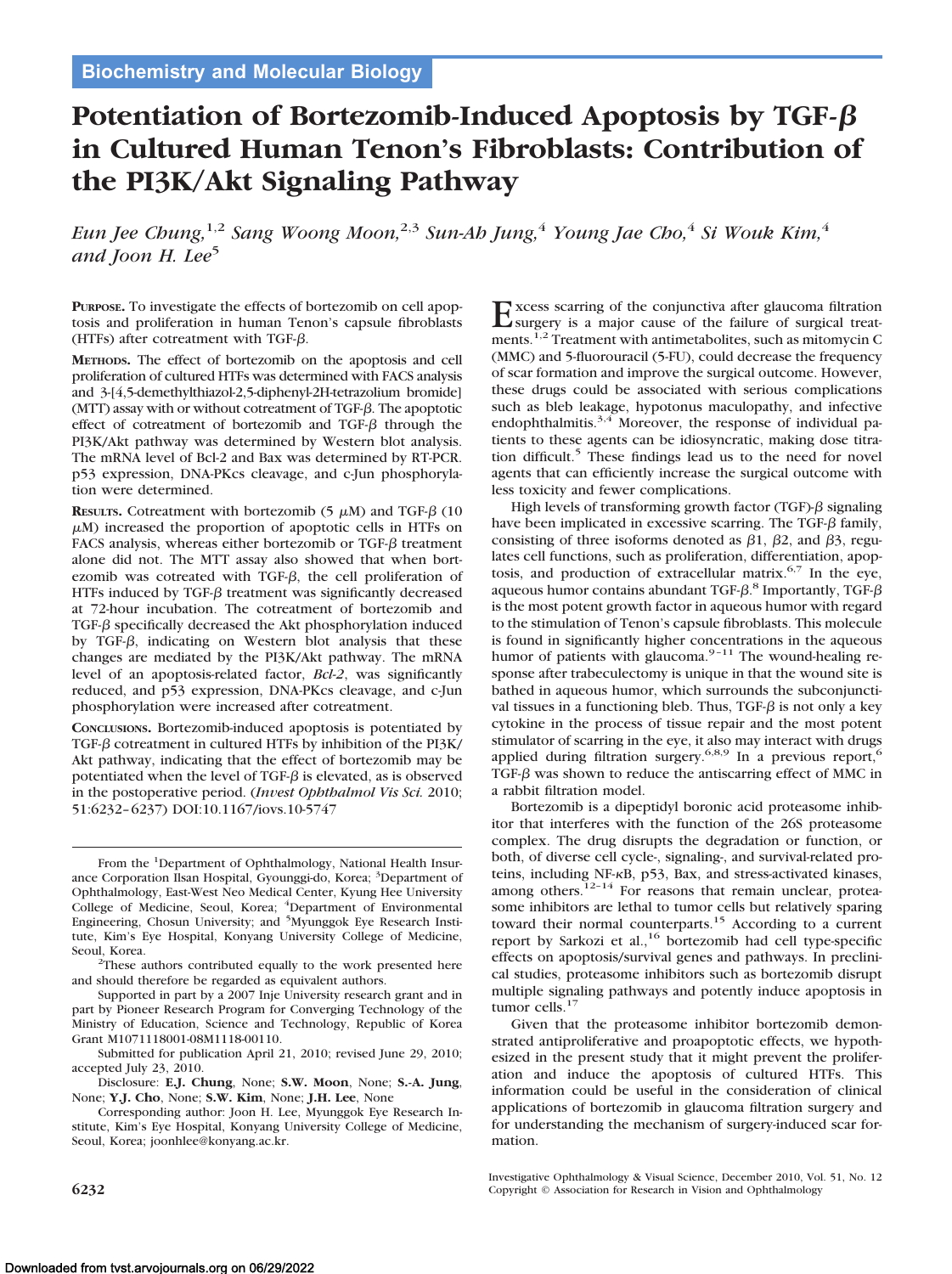# **Potentiation of Bortezomib-Induced Apoptosis by TGF in Cultured Human Tenon's Fibroblasts: Contribution of the PI3K/Akt Signaling Pathway**

*Eun Jee Chung,*1,2 *Sang Woong Moon,*2,3 *Sun-Ah Jung,*<sup>4</sup> *Young Jae Cho,*<sup>4</sup> *Si Wouk Kim,*<sup>4</sup> and *Joon H. Lee*<sup>5</sup>

**PURPOSE.** To investigate the effects of bortezomib on cell apoptosis and proliferation in human Tenon's capsule fibroblasts (HTFs) after cotreatment with TGF- $\beta$ .

**METHODS.** The effect of bortezomib on the apoptosis and cell proliferation of cultured HTFs was determined with FACS analysis and 3-[4,5-demethylthiazol-2,5-diphenyl-2H-tetrazolium bromide] (MTT) assay with or without cotreatment of TGF- $\beta$ . The apoptotic effect of cotreatment of bortezomib and TGF- $\beta$  through the PI3K/Akt pathway was determined by Western blot analysis. The mRNA level of Bcl-2 and Bax was determined by RT-PCR. p53 expression, DNA-PKcs cleavage, and c-Jun phosphorylation were determined.

**RESULTS.** Cotreatment with bortezomib  $(5 \mu M)$  and TGF- $\beta$  (10  $\mu$ M) increased the proportion of apoptotic cells in HTFs on FACS analysis, whereas either bortezomib or TGF- $\beta$  treatment alone did not. The MTT assay also showed that when bortezomib was cotreated with TGF- $\beta$ , the cell proliferation of HTFs induced by TGF- $\beta$  treatment was significantly decreased at 72-hour incubation. The cotreatment of bortezomib and TGF- $\beta$  specifically decreased the Akt phosphorylation induced by TGF- $\beta$ , indicating on Western blot analysis that these changes are mediated by the PI3K/Akt pathway. The mRNA level of an apoptosis-related factor, *Bcl-2*, was significantly reduced, and p53 expression, DNA-PKcs cleavage, and c-Jun phosphorylation were increased after cotreatment.

**CONCLUSIONS.** Bortezomib-induced apoptosis is potentiated by TGF- $\beta$  cotreatment in cultured HTFs by inhibition of the PI3K/ Akt pathway, indicating that the effect of bortezomib may be potentiated when the level of TGF- $\beta$  is elevated, as is observed in the postoperative period. (*Invest Ophthalmol Vis Sci.* 2010; 51:6232–6237) DOI:10.1167/iovs.10-5747

From the <sup>1</sup>Department of Ophthalmology, National Health Insurance Corporation Ilsan Hospital, Gyounggi-do, Korea; <sup>3</sup>Department of Ophthalmology, East-West Neo Medical Center, Kyung Hee University College of Medicine, Seoul, Korea; <sup>4</sup>Department of Environmental<br>Engineering, Chosun University; and <sup>5</sup>Myunggok Eye Research Institute, Kim's Eye Hospital, Konyang University College of Medicine, Seoul, Korea.

<sup>2</sup>These authors contributed equally to the work presented here and should therefore be regarded as equivalent authors.

Supported in part by a 2007 Inje University research grant and in part by Pioneer Research Program for Converging Technology of the Ministry of Education, Science and Technology, Republic of Korea Grant M1071118001-08M1118-00110.

Submitted for publication April 21, 2010; revised June 29, 2010; accepted July 23, 2010.

Disclosure: **E.J. Chung**, None; **S.W. Moon**, None; **S.-A. Jung**, None; **Y.J. Cho**, None; **S.W. Kim**, None; **J.H. Lee**, None

Corresponding author: Joon H. Lee, Myunggok Eye Research Institute, Kim's Eye Hospital, Konyang University College of Medicine, Seoul, Korea; joonhlee@konyang.ac.kr.

 $\text{Excess}_{\text{surgery}}$  is a major cause of the failure of surgical treat-<br>surgery is a major cause of the failure of surgical treatments.<sup>1,2</sup> Treatment with antimetabolites, such as mitomycin C (MMC) and 5-fluorouracil (5-FU), could decrease the frequency of scar formation and improve the surgical outcome. However, these drugs could be associated with serious complications such as bleb leakage, hypotonus maculopathy, and infective endophthalmitis.<sup>3,4</sup> Moreover, the response of individual patients to these agents can be idiosyncratic, making dose titration difficult.<sup>5</sup> These findings lead us to the need for novel agents that can efficiently increase the surgical outcome with less toxicity and fewer complications.

High levels of transforming growth factor (TGF)- $\beta$  signaling have been implicated in excessive scarring. The TGF- $\beta$  family, consisting of three isoforms denoted as  $\beta$ 1,  $\beta$ 2, and  $\beta$ 3, regulates cell functions, such as proliferation, differentiation, apoptosis, and production of extracellular matrix.<sup>6,7</sup> In the eye, aqueous humor contains abundant TGF- $\beta$ .<sup>8</sup> Importantly, TGF- $\beta$ is the most potent growth factor in aqueous humor with regard to the stimulation of Tenon's capsule fibroblasts. This molecule is found in significantly higher concentrations in the aqueous humor of patients with glaucoma.<sup>9-11</sup> The wound-healing response after trabeculectomy is unique in that the wound site is bathed in aqueous humor, which surrounds the subconjunctival tissues in a functioning bleb. Thus, TGF- $\beta$  is not only a key cytokine in the process of tissue repair and the most potent stimulator of scarring in the eye, it also may interact with drugs applied during filtration surgery.<sup>6,8,9</sup> In a previous report,<sup>6</sup> TGF- $\beta$  was shown to reduce the antiscarring effect of MMC in a rabbit filtration model.

Bortezomib is a dipeptidyl boronic acid proteasome inhibitor that interferes with the function of the 26S proteasome complex. The drug disrupts the degradation or function, or both, of diverse cell cycle-, signaling-, and survival-related proteins, including NF-KB, p53, Bax, and stress-activated kinases, among others.<sup>12-14</sup> For reasons that remain unclear, proteasome inhibitors are lethal to tumor cells but relatively sparing toward their normal counterparts.15 According to a current report by Sarkozi et al.,<sup>16</sup> bortezomib had cell type-specific effects on apoptosis/survival genes and pathways. In preclinical studies, proteasome inhibitors such as bortezomib disrupt multiple signaling pathways and potently induce apoptosis in tumor cells.<sup>17</sup>

Given that the proteasome inhibitor bortezomib demonstrated antiproliferative and proapoptotic effects, we hypothesized in the present study that it might prevent the proliferation and induce the apoptosis of cultured HTFs. This information could be useful in the consideration of clinical applications of bortezomib in glaucoma filtration surgery and for understanding the mechanism of surgery-induced scar formation.

Investigative Ophthalmology & Visual Science, December 2010, Vol. 51, No. 12 **6232** Copyright © Association for Research in Vision and Ophthalmology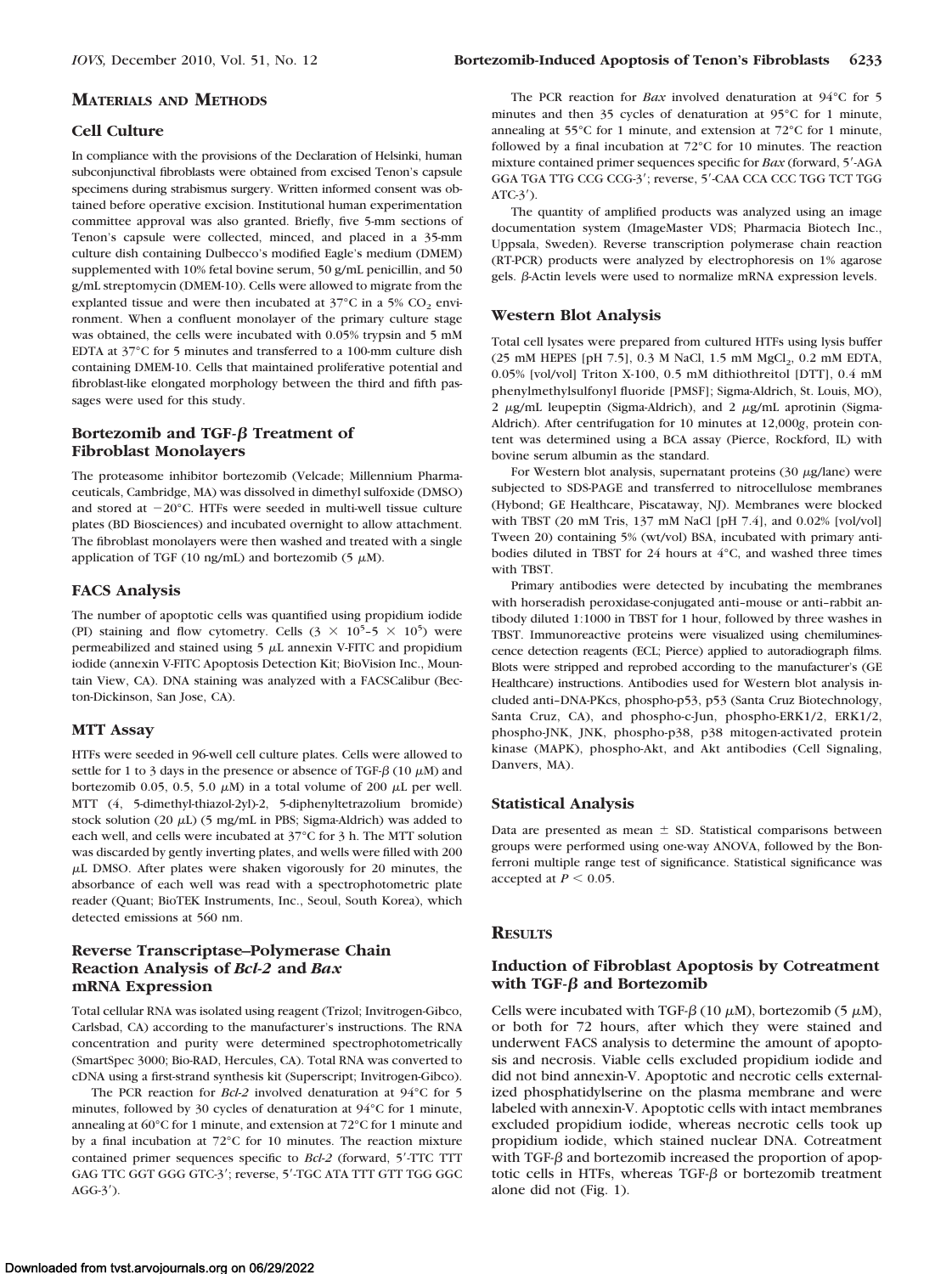#### **MATERIALS AND METHODS**

# **Cell Culture**

In compliance with the provisions of the Declaration of Helsinki, human subconjunctival fibroblasts were obtained from excised Tenon's capsule specimens during strabismus surgery. Written informed consent was obtained before operative excision. Institutional human experimentation committee approval was also granted. Briefly, five 5-mm sections of Tenon's capsule were collected, minced, and placed in a 35-mm culture dish containing Dulbecco's modified Eagle's medium (DMEM) supplemented with 10% fetal bovine serum, 50 g/mL penicillin, and 50 g/mL streptomycin (DMEM-10). Cells were allowed to migrate from the explanted tissue and were then incubated at  $37^{\circ}$ C in a 5% CO<sub>2</sub> environment. When a confluent monolayer of the primary culture stage was obtained, the cells were incubated with 0.05% trypsin and 5 mM EDTA at 37°C for 5 minutes and transferred to a 100-mm culture dish containing DMEM-10. Cells that maintained proliferative potential and fibroblast-like elongated morphology between the third and fifth passages were used for this study.

# **Bortezomib and TGF-β Treatment of Fibroblast Monolayers**

The proteasome inhibitor bortezomib (Velcade; Millennium Pharmaceuticals, Cambridge, MA) was dissolved in dimethyl sulfoxide (DMSO) and stored at  $-20^{\circ}$ C. HTFs were seeded in multi-well tissue culture plates (BD Biosciences) and incubated overnight to allow attachment. The fibroblast monolayers were then washed and treated with a single application of TGF (10 ng/mL) and bortezomib (5  $\mu$ M).

# **FACS Analysis**

The number of apoptotic cells was quantified using propidium iodide (PI) staining and flow cytometry. Cells  $(3 \times 10^5 - 5 \times 10^5)$  were permeabilized and stained using  $5 \mu$ L annexin V-FITC and propidium iodide (annexin V-FITC Apoptosis Detection Kit; BioVision Inc., Mountain View, CA). DNA staining was analyzed with a FACSCalibur (Becton-Dickinson, San Jose, CA).

#### **MTT Assay**

HTFs were seeded in 96-well cell culture plates. Cells were allowed to settle for 1 to 3 days in the presence or absence of TGF- $\beta$  (10  $\mu$ M) and bortezomib 0.05, 0.5, 5.0  $\mu$ M) in a total volume of 200  $\mu$ L per well. MTT (4, 5-dimethyl-thiazol-2yl)-2, 5-diphenyltetrazolium bromide) stock solution (20  $\mu$ L) (5 mg/mL in PBS; Sigma-Aldrich) was added to each well, and cells were incubated at 37°C for 3 h. The MTT solution was discarded by gently inverting plates, and wells were filled with 200  $\mu$ L DMSO. After plates were shaken vigorously for 20 minutes, the absorbance of each well was read with a spectrophotometric plate reader (Quant; BioTEK Instruments, Inc., Seoul, South Korea), which detected emissions at 560 nm.

# **Reverse Transcriptase–Polymerase Chain Reaction Analysis of** *Bcl-2* **and** *Bax* **mRNA Expression**

Total cellular RNA was isolated using reagent (Trizol; Invitrogen-Gibco, Carlsbad, CA) according to the manufacturer's instructions. The RNA concentration and purity were determined spectrophotometrically (SmartSpec 3000; Bio-RAD, Hercules, CA). Total RNA was converted to cDNA using a first-strand synthesis kit (Superscript; Invitrogen-Gibco).

The PCR reaction for *Bcl-2* involved denaturation at 94°C for 5 minutes, followed by 30 cycles of denaturation at 94°C for 1 minute, annealing at 60°C for 1 minute, and extension at 72°C for 1 minute and by a final incubation at 72°C for 10 minutes. The reaction mixture contained primer sequences specific to *Bcl-2* (forward, 5-TTC TTT GAG TTC GGT GGG GTC-3'; reverse, 5'-TGC ATA TTT GTT TGG GGC  $AGG-3^{\prime}$ ).

The PCR reaction for *Bax* involved denaturation at 94°C for 5 minutes and then 35 cycles of denaturation at 95°C for 1 minute, annealing at 55°C for 1 minute, and extension at 72°C for 1 minute, followed by a final incubation at 72°C for 10 minutes. The reaction mixture contained primer sequences specific for *Bax* (forward, 5-AGA GGA TGA TTG CCG CCG-3'; reverse, 5'-CAA CCA CCC TGG TCT TGG  $ATC-3^{\prime}$ ).

The quantity of amplified products was analyzed using an image documentation system (ImageMaster VDS; Pharmacia Biotech Inc., Uppsala, Sweden). Reverse transcription polymerase chain reaction (RT-PCR) products were analyzed by electrophoresis on 1% agarose gels.  $\beta$ -Actin levels were used to normalize mRNA expression levels.

#### **Western Blot Analysis**

Total cell lysates were prepared from cultured HTFs using lysis buffer (25 mM HEPES [pH 7.5], 0.3 M NaCl, 1.5 mM  $MgCl<sub>2</sub>$ , 0.2 mM EDTA, 0.05% [vol/vol] Triton X-100, 0.5 mM dithiothreitol [DTT], 0.4 mM phenylmethylsulfonyl fluoride [PMSF]; Sigma-Aldrich, St. Louis, MO),  $2 \mu g/mL$  leupeptin (Sigma-Aldrich), and  $2 \mu g/mL$  aprotinin (Sigma-Aldrich). After centrifugation for 10 minutes at 12,000*g*, protein content was determined using a BCA assay (Pierce, Rockford, IL) with bovine serum albumin as the standard.

For Western blot analysis, supernatant proteins  $(30 \mu g / \text{lane})$  were subjected to SDS-PAGE and transferred to nitrocellulose membranes (Hybond; GE Healthcare, Piscataway, NJ). Membranes were blocked with TBST (20 mM Tris, 137 mM NaCl [pH 7.4], and 0.02% [vol/vol] Tween 20) containing 5% (wt/vol) BSA, incubated with primary antibodies diluted in TBST for 24 hours at 4°C, and washed three times with TBST.

Primary antibodies were detected by incubating the membranes with horseradish peroxidase-conjugated anti–mouse or anti–rabbit antibody diluted 1:1000 in TBST for 1 hour, followed by three washes in TBST. Immunoreactive proteins were visualized using chemiluminescence detection reagents (ECL; Pierce) applied to autoradiograph films. Blots were stripped and reprobed according to the manufacturer's (GE Healthcare) instructions. Antibodies used for Western blot analysis included anti–DNA-PKcs, phospho-p53, p53 (Santa Cruz Biotechnology, Santa Cruz, CA), and phospho-c-Jun, phospho-ERK1/2, ERK1/2, phospho-JNK, JNK, phospho-p38, p38 mitogen-activated protein kinase (MAPK), phospho-Akt, and Akt antibodies (Cell Signaling, Danvers, MA).

#### **Statistical Analysis**

Data are presented as mean  $\pm$  SD. Statistical comparisons between groups were performed using one-way ANOVA, followed by the Bonferroni multiple range test of significance. Statistical significance was accepted at  $P \leq 0.05$ .

#### **RESULTS**

## **Induction of Fibroblast Apoptosis by Cotreatment** with TGF- $\beta$  and Bortezomib

Cells were incubated with TGF- $\beta$  (10  $\mu$ M), bortezomib (5  $\mu$ M), or both for 72 hours, after which they were stained and underwent FACS analysis to determine the amount of apoptosis and necrosis. Viable cells excluded propidium iodide and did not bind annexin-V. Apoptotic and necrotic cells externalized phosphatidylserine on the plasma membrane and were labeled with annexin-V. Apoptotic cells with intact membranes excluded propidium iodide, whereas necrotic cells took up propidium iodide, which stained nuclear DNA. Cotreatment with TGF- $\beta$  and bortezomib increased the proportion of apoptotic cells in HTFs, whereas TGF- $\beta$  or bortezomib treatment alone did not (Fig. 1).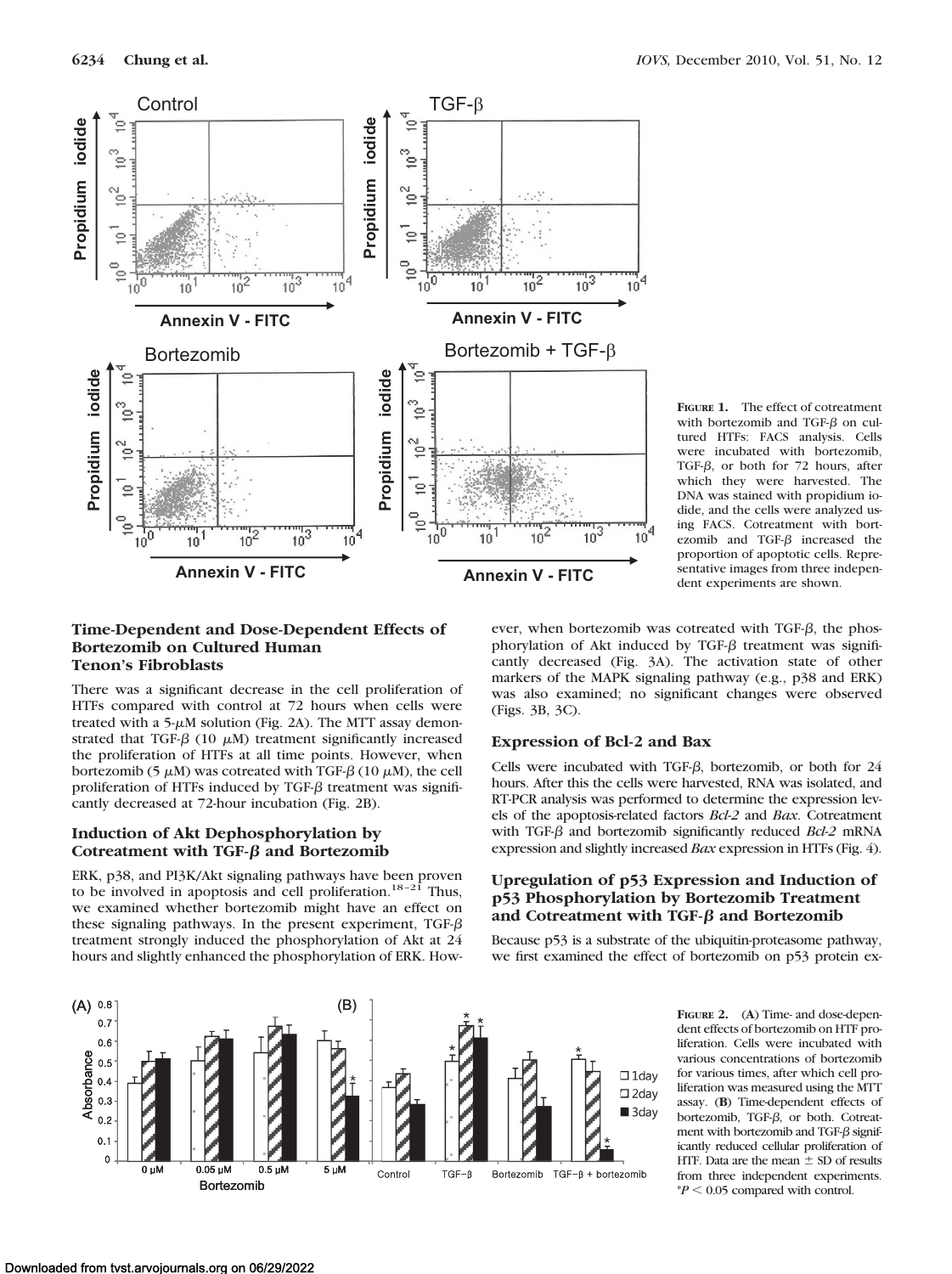

**FIGURE 1.** The effect of cotreatment with bortezomib and TGF-B on cultured HTFs: FACS analysis. Cells were incubated with bortezomib, TGF- $\beta$ , or both for 72 hours, after which they were harvested. The DNA was stained with propidium iodide, and the cells were analyzed using FACS. Cotreatment with bortezomib and TGF- $\beta$  increased the proportion of apoptotic cells. Representative images from three independent experiments are shown.

### **Time-Dependent and Dose-Dependent Effects of Bortezomib on Cultured Human Tenon's Fibroblasts**

There was a significant decrease in the cell proliferation of HTFs compared with control at 72 hours when cells were treated with a  $5-\mu M$  solution (Fig. 2A). The MTT assay demonstrated that TGF- $\beta$  (10  $\mu$ M) treatment significantly increased the proliferation of HTFs at all time points. However, when bortezomib (5  $\mu$ M) was cotreated with TGF- $\beta$  (10  $\mu$ M), the cell proliferation of HTFs induced by TGF- $\beta$  treatment was significantly decreased at 72-hour incubation (Fig. 2B).

# **Induction of Akt Dephosphorylation by Cotreatment with TGF-β and Bortezomib**

ERK, p38, and PI3K/Akt signaling pathways have been proven<br>to be involved in apoptosis and cell proliferation.<sup>18-21</sup> Thus, we examined whether bortezomib might have an effect on these signaling pathways. In the present experiment, TGF- $\beta$ treatment strongly induced the phosphorylation of Akt at 24 hours and slightly enhanced the phosphorylation of ERK. How-

ever, when bortezomib was cotreated with TGF- $\beta$ , the phosphorylation of Akt induced by TGF- $\beta$  treatment was significantly decreased (Fig. 3A). The activation state of other markers of the MAPK signaling pathway (e.g., p38 and ERK) was also examined; no significant changes were observed (Figs. 3B, 3C).

# **Expression of Bcl-2 and Bax**

Cells were incubated with TGF- $\beta$ , bortezomib, or both for 24 hours. After this the cells were harvested, RNA was isolated, and RT-PCR analysis was performed to determine the expression levels of the apoptosis-related factors *Bcl-2* and *Bax*. Cotreatment with TGF- $\beta$  and bortezomib significantly reduced *Bcl-2* mRNA expression and slightly increased *Bax* expression in HTFs (Fig. 4).

# **Upregulation of p53 Expression and Induction of p53 Phosphorylation by Bortezomib Treatment and Cotreatment with TGF-β and Bortezomib**

Because p53 is a substrate of the ubiquitin-proteasome pathway, we first examined the effect of bortezomib on p53 protein ex-



 **FIGURE 2.** (**A**) Time- and dose-dependent effects of bortezomib on HTF proliferation. Cells were incubated with various concentrations of bortezomib for various times, after which cell proliferation was measured using the MTT assay. (**B**) Time-dependent effects of bortezomib, TGF- $\beta$ , or both. Cotreatment with bortezomib and TGF- $\beta$  significantly reduced cellular proliferation of HTF. Data are the mean  $\pm$  SD of results from three independent experiments.  $*P < 0.05$  compared with control.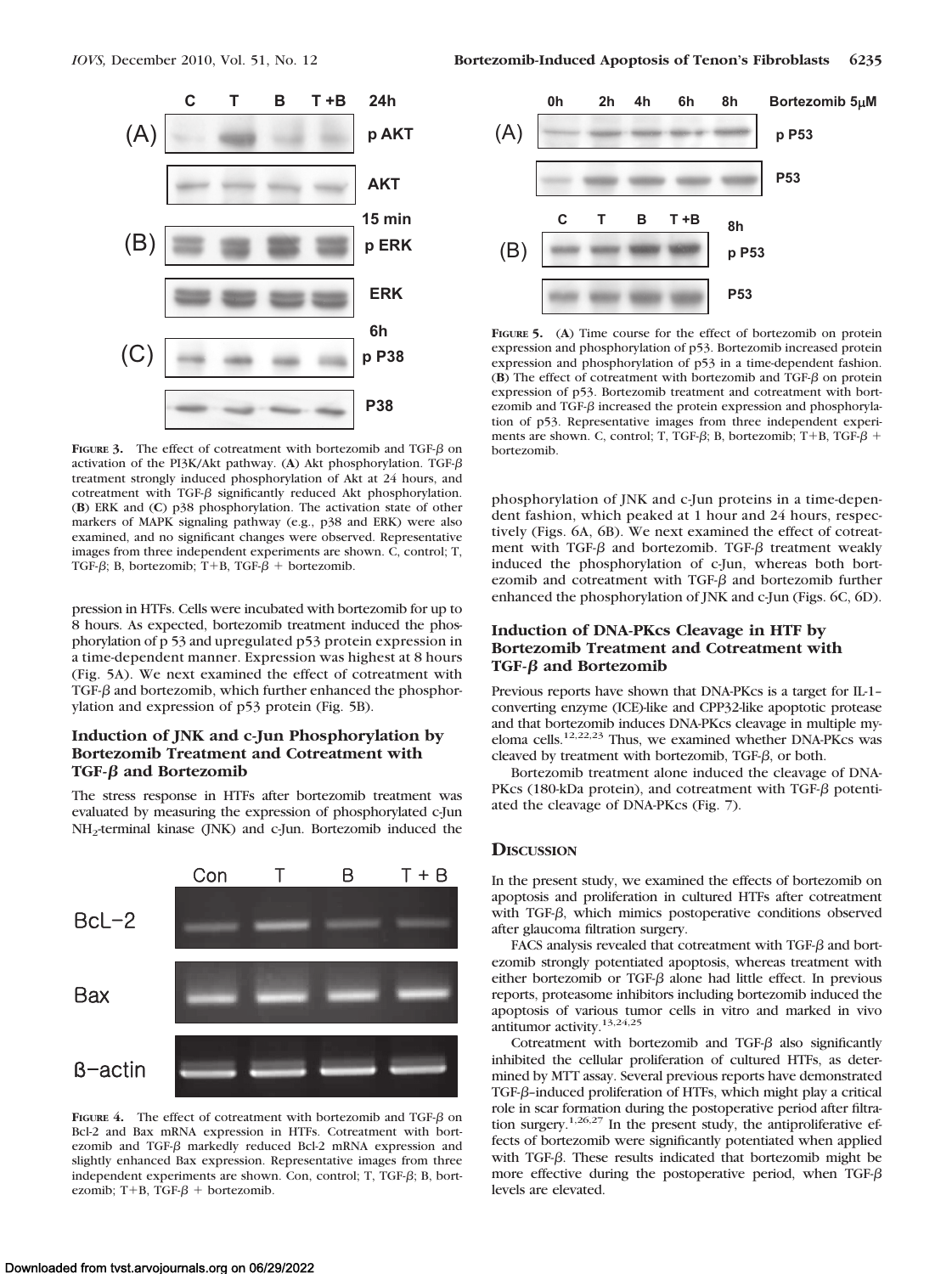



**FIGURE 3.** The effect of cotreatment with bortezomib and TGF- $\beta$  on activation of the PI3K/Akt pathway. (**A**) Akt phosphorylation. TGF treatment strongly induced phosphorylation of Akt at 24 hours, and cotreatment with TGF- $\beta$  significantly reduced Akt phosphorylation. (**B**) ERK and (**C**) p38 phosphorylation. The activation state of other markers of MAPK signaling pathway (e.g., p38 and ERK) were also examined, and no significant changes were observed. Representative images from three independent experiments are shown. C, control; T, TGF- $\beta$ ; B, bortezomib; T+B, TGF- $\beta$  + bortezomib.

pression in HTFs. Cells were incubated with bortezomib for up to 8 hours. As expected, bortezomib treatment induced the phosphorylation of p 53 and upregulated p53 protein expression in a time-dependent manner. Expression was highest at 8 hours (Fig. 5A). We next examined the effect of cotreatment with TGF- $\beta$  and bortezomib, which further enhanced the phosphorylation and expression of p53 protein (Fig. 5B).

# **Induction of JNK and c-Jun Phosphorylation by Bortezomib Treatment and Cotreatment with TGF-β and Bortezomib**

The stress response in HTFs after bortezomib treatment was evaluated by measuring the expression of phosphorylated c-Jun NH2-terminal kinase (JNK) and c-Jun. Bortezomib induced the



**FIGURE 4.** The effect of cotreatment with bortezomib and TGF- $\beta$  on Bcl-2 and Bax mRNA expression in HTFs. Cotreatment with bortezomib and TGF- $\beta$  markedly reduced Bcl-2 mRNA expression and slightly enhanced Bax expression. Representative images from three independent experiments are shown. Con, control; T, TGF- $\beta$ ; B, bortezomib; T+B, TGF- $\beta$  + bortezomib.



**FIGURE 5.** (**A**) Time course for the effect of bortezomib on protein expression and phosphorylation of p53. Bortezomib increased protein expression and phosphorylation of p53 in a time-dependent fashion.  $(B)$  The effect of cotreatment with bortezomib and TGF- $\beta$  on protein expression of p53. Bortezomib treatment and cotreatment with bortezomib and TGF- $\beta$  increased the protein expression and phosphorylation of p53. Representative images from three independent experiments are shown. C, control; T, TGF- $\beta$ ; B, bortezomib; T+B, TGF- $\beta$  + bortezomib.

phosphorylation of JNK and c-Jun proteins in a time-dependent fashion, which peaked at 1 hour and 24 hours, respectively (Figs. 6A, 6B). We next examined the effect of cotreatment with TGF- $\beta$  and bortezomib. TGF- $\beta$  treatment weakly induced the phosphorylation of c-Jun, whereas both bortezomib and cotreatment with TGF- $\beta$  and bortezomib further enhanced the phosphorylation of JNK and c-Jun (Figs. 6C, 6D).

## **Induction of DNA-PKcs Cleavage in HTF by Bortezomib Treatment and Cotreatment with TGF-β and Bortezomib**

Previous reports have shown that DNA-PKcs is a target for IL-1– converting enzyme (ICE)-like and CPP32-like apoptotic protease and that bortezomib induces DNA-PKcs cleavage in multiple myeloma cells.12,22,23 Thus, we examined whether DNA-PKcs was cleaved by treatment with bortezomib, TGF- $\beta$ , or both.

Bortezomib treatment alone induced the cleavage of DNA-PKcs (180-kDa protein), and cotreatment with TGF- $\beta$  potentiated the cleavage of DNA-PKcs (Fig. 7).

# **DISCUSSION**

In the present study, we examined the effects of bortezomib on apoptosis and proliferation in cultured HTFs after cotreatment with TGF- $\beta$ , which mimics postoperative conditions observed after glaucoma filtration surgery.

FACS analysis revealed that cotreatment with TGF- $\beta$  and bortezomib strongly potentiated apoptosis, whereas treatment with either bortezomib or TGF- $\beta$  alone had little effect. In previous reports, proteasome inhibitors including bortezomib induced the apoptosis of various tumor cells in vitro and marked in vivo antitumor activity.13,24,25

Cotreatment with bortezomib and TGF- $\beta$  also significantly inhibited the cellular proliferation of cultured HTFs, as determined by MTT assay. Several previous reports have demonstrated TGF- $\beta$ -induced proliferation of HTFs, which might play a critical role in scar formation during the postoperative period after filtration surgery.1,26,27 In the present study, the antiproliferative effects of bortezomib were significantly potentiated when applied with TGF- $\beta$ . These results indicated that bortezomib might be more effective during the postoperative period, when TGF- $\beta$ levels are elevated.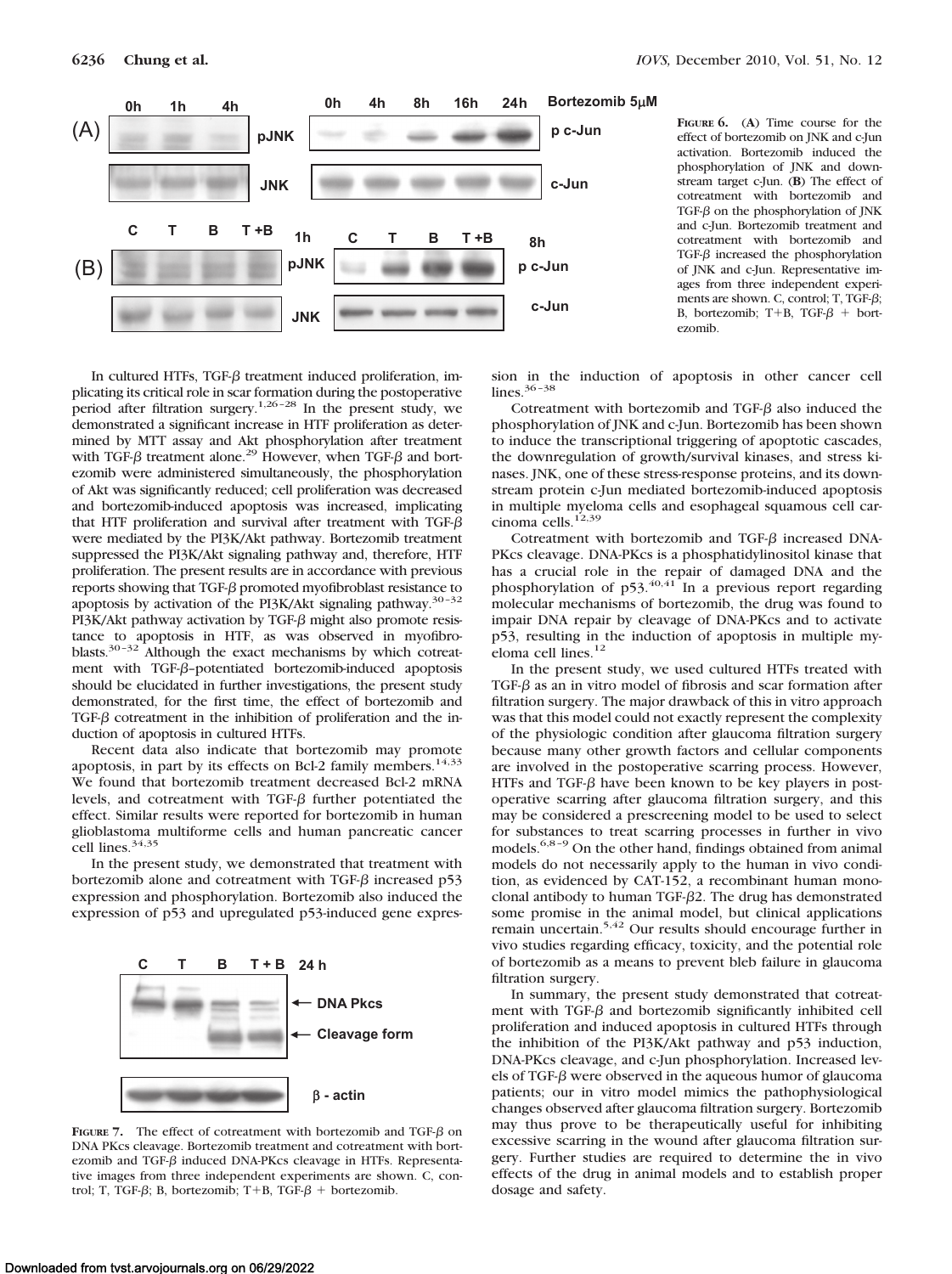



**FIGURE 6.** (**A**) Time course for the effect of bortezomib on JNK and c-Jun activation. Bortezomib induced the phosphorylation of JNK and downstream target c-Jun. (**B**) The effect of cotreatment with bortezomib and TGF- $\beta$  on the phosphorylation of JNK and c-Jun. Bortezomib treatment and cotreatment with bortezomib and TGF- $\beta$  increased the phosphorylation of JNK and c-Jun. Representative images from three independent experiments are shown. C, control; T, TGF- $\beta$ ; B, bortezomib; T+B, TGF- $\beta$  + bortezomib.

In cultured HTFs, TGF- $\beta$  treatment induced proliferation, implicating its critical role in scar formation during the postoperative period after filtration surgery.<sup>1,26-28</sup> In the present study, we demonstrated a significant increase in HTF proliferation as determined by MTT assay and Akt phosphorylation after treatment with TGF- $\beta$  treatment alone.<sup>29</sup> However, when TGF- $\beta$  and bortezomib were administered simultaneously, the phosphorylation of Akt was significantly reduced; cell proliferation was decreased and bortezomib-induced apoptosis was increased, implicating that HTF proliferation and survival after treatment with TGF- $\beta$ were mediated by the PI3K/Akt pathway. Bortezomib treatment suppressed the PI3K/Akt signaling pathway and, therefore, HTF proliferation. The present results are in accordance with previous reports showing that TGF- $\beta$  promoted myofibroblast resistance to apoptosis by activation of the PI3K/Akt signaling pathway.30–32 PI3K/Akt pathway activation by TGF- $\beta$  might also promote resistance to apoptosis in HTF, as was observed in myofibroblasts.30–32 Although the exact mechanisms by which cotreatment with TGF- $\beta$ -potentiated bortezomib-induced apoptosis should be elucidated in further investigations, the present study demonstrated, for the first time, the effect of bortezomib and TGF- $\beta$  cotreatment in the inhibition of proliferation and the induction of apoptosis in cultured HTFs.

Recent data also indicate that bortezomib may promote apoptosis, in part by its effects on Bcl-2 family members.<sup>14,33</sup> We found that bortezomib treatment decreased Bcl-2 mRNA levels, and cotreatment with TGF- $\beta$  further potentiated the effect. Similar results were reported for bortezomib in human glioblastoma multiforme cells and human pancreatic cancer cell lines.<sup>34,35</sup>

In the present study, we demonstrated that treatment with bortezomib alone and cotreatment with TGF- $\beta$  increased p53 expression and phosphorylation. Bortezomib also induced the expression of p53 and upregulated p53-induced gene expres-



**FIGURE 7.** The effect of cotreatment with bortezomib and TGF- $\beta$  on DNA PKcs cleavage. Bortezomib treatment and cotreatment with bortezomib and TGF- $\beta$  induced DNA-PKcs cleavage in HTFs. Representative images from three independent experiments are shown. C, control; T, TGF- $\beta$ ; B, bortezomib; T+B, TGF- $\beta$  + bortezomib.

sion in the induction of apoptosis in other cancer cell lines.36–38

Cotreatment with bortezomib and TGF- $\beta$  also induced the phosphorylation of JNK and c-Jun. Bortezomib has been shown to induce the transcriptional triggering of apoptotic cascades, the downregulation of growth/survival kinases, and stress kinases. JNK, one of these stress-response proteins, and its downstream protein c-Jun mediated bortezomib-induced apoptosis in multiple myeloma cells and esophageal squamous cell carcinoma cells.<sup>12,39</sup>

Cotreatment with bortezomib and TGF- $\beta$  increased DNA-PKcs cleavage. DNA-PKcs is a phosphatidylinositol kinase that has a crucial role in the repair of damaged DNA and the phosphorylation of p53.<sup>40,41</sup> In a previous report regarding molecular mechanisms of bortezomib, the drug was found to impair DNA repair by cleavage of DNA-PKcs and to activate p53, resulting in the induction of apoptosis in multiple myeloma cell lines.<sup>12</sup>

In the present study, we used cultured HTFs treated with TGF- $\beta$  as an in vitro model of fibrosis and scar formation after filtration surgery. The major drawback of this in vitro approach was that this model could not exactly represent the complexity of the physiologic condition after glaucoma filtration surgery because many other growth factors and cellular components are involved in the postoperative scarring process. However, HTFs and TGF- $\beta$  have been known to be key players in postoperative scarring after glaucoma filtration surgery, and this may be considered a prescreening model to be used to select for substances to treat scarring processes in further in vivo models.6,8–9 On the other hand, findings obtained from animal models do not necessarily apply to the human in vivo condition, as evidenced by CAT-152, a recombinant human monoclonal antibody to human TGF- $\beta$ 2. The drug has demonstrated some promise in the animal model, but clinical applications remain uncertain.5,42 Our results should encourage further in vivo studies regarding efficacy, toxicity, and the potential role of bortezomib as a means to prevent bleb failure in glaucoma filtration surgery.

In summary, the present study demonstrated that cotreatment with TGF- $\beta$  and bortezomib significantly inhibited cell proliferation and induced apoptosis in cultured HTFs through the inhibition of the PI3K/Akt pathway and p53 induction, DNA-PKcs cleavage, and c-Jun phosphorylation. Increased levels of TGF- $\beta$  were observed in the aqueous humor of glaucoma patients; our in vitro model mimics the pathophysiological changes observed after glaucoma filtration surgery. Bortezomib may thus prove to be therapeutically useful for inhibiting excessive scarring in the wound after glaucoma filtration surgery. Further studies are required to determine the in vivo effects of the drug in animal models and to establish proper dosage and safety.